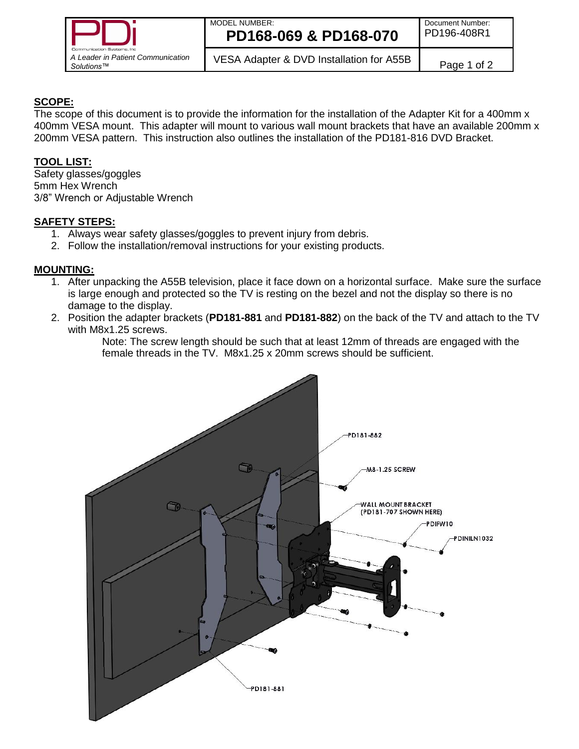

### MODEL NUMBER: **PD168-069 & PD168-070**

# **SCOPE:**

The scope of this document is to provide the information for the installation of the Adapter Kit for a 400mm x 400mm VESA mount. This adapter will mount to various wall mount brackets that have an available 200mm x 200mm VESA pattern. This instruction also outlines the installation of the PD181-816 DVD Bracket.

# **TOOL LIST:**

Safety glasses/goggles 5mm Hex Wrench 3/8" Wrench or Adjustable Wrench

### **SAFETY STEPS:**

- 1. Always wear safety glasses/goggles to prevent injury from debris.
- 2. Follow the installation/removal instructions for your existing products.

### **MOUNTING:**

- 1. After unpacking the A55B television, place it face down on a horizontal surface. Make sure the surface is large enough and protected so the TV is resting on the bezel and not the display so there is no damage to the display.
- 2. Position the adapter brackets (**PD181-881** and **PD181-882**) on the back of the TV and attach to the TV with M8x1.25 screws.

Note: The screw length should be such that at least 12mm of threads are engaged with the female threads in the TV. M8x1.25 x 20mm screws should be sufficient.